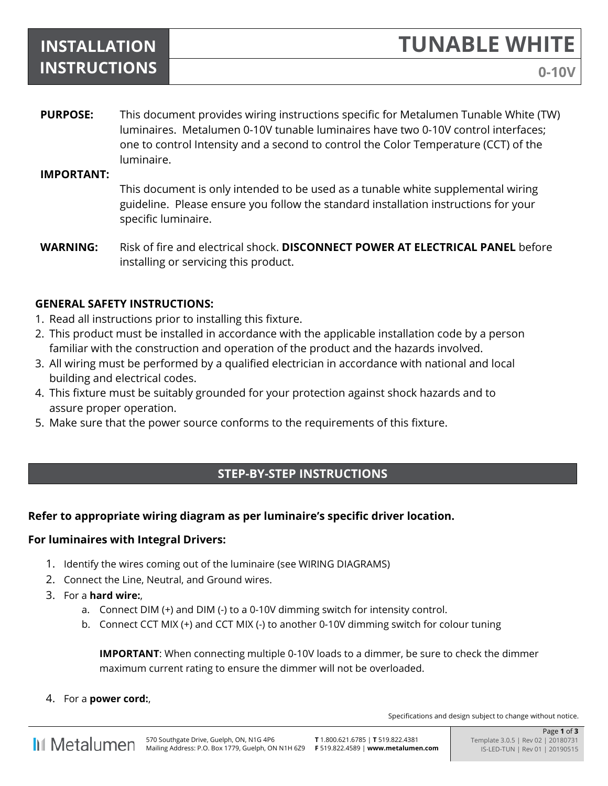# **INSTALLATION INSTRUCTIONS**

**TUNABLE WHITE**

**PURPOSE:** This document provides wiring instructions specific for Metalumen Tunable White (TW) luminaires. Metalumen 0-10V tunable luminaires have two 0-10V control interfaces; one to control Intensity and a second to control the Color Temperature (CCT) of the luminaire.

#### **IMPORTANT:**

This document is only intended to be used as a tunable white supplemental wiring guideline. Please ensure you follow the standard installation instructions for your specific luminaire.

**WARNING:** Risk of fire and electrical shock. **DISCONNECT POWER AT ELECTRICAL PANEL** before installing or servicing this product.

## **GENERAL SAFETY INSTRUCTIONS:**

- 1. Read all instructions prior to installing this fixture.
- 2. This product must be installed in accordance with the applicable installation code by a person familiar with the construction and operation of the product and the hazards involved.
- 3. All wiring must be performed by a qualified electrician in accordance with national and local building and electrical codes.
- 4. This fixture must be suitably grounded for your protection against shock hazards and to assure proper operation.
- 5. Make sure that the power source conforms to the requirements of this fixture.

# **STEP-BY-STEP INSTRUCTIONS**

## **Refer to appropriate wiring diagram as per luminaire's specific driver location.**

#### **For luminaires with Integral Drivers:**

- 1. Identify the wires coming out of the luminaire (see WIRING DIAGRAMS)
- 2. Connect the Line, Neutral, and Ground wires.
- 3. For a **hard wire:**,
	- a. Connect DIM (+) and DIM (-) to a 0-10V dimming switch for intensity control.
	- b. Connect CCT MIX (+) and CCT MIX (-) to another 0-10V dimming switch for colour tuning

**IMPORTANT**: When connecting multiple 0-10V loads to a dimmer, be sure to check the dimmer maximum current rating to ensure the dimmer will not be overloaded.

4. For a **power cord:**,

Specifications and design subject to change without notice.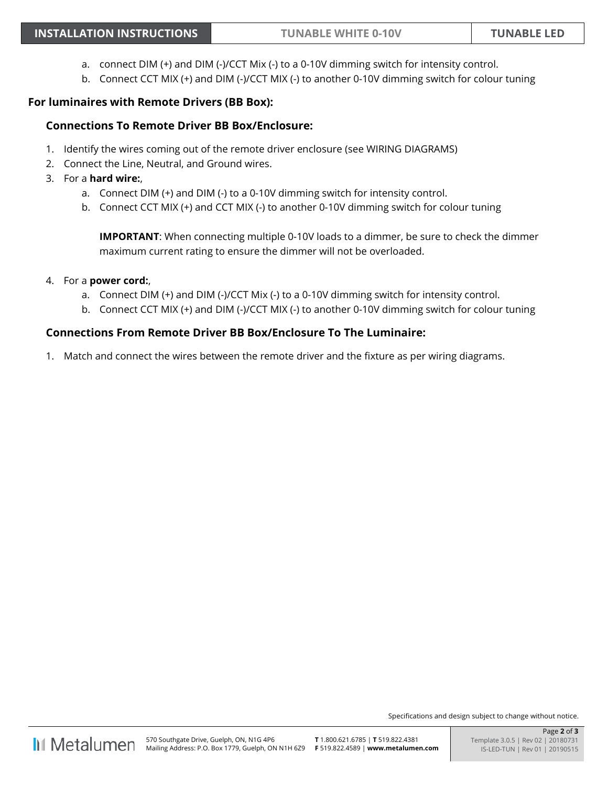- a. connect DIM (+) and DIM (-)/CCT Mix (-) to a 0-10V dimming switch for intensity control.
- b. Connect CCT MIX (+) and DIM (-)/CCT MIX (-) to another 0-10V dimming switch for colour tuning

#### **For luminaires with Remote Drivers (BB Box):**

#### **Connections To Remote Driver BB Box/Enclosure:**

- 1. Identify the wires coming out of the remote driver enclosure (see WIRING DIAGRAMS)
- 2. Connect the Line, Neutral, and Ground wires.
- 3. For a **hard wire:**,
	- a. Connect DIM (+) and DIM (-) to a 0-10V dimming switch for intensity control.
	- b. Connect CCT MIX (+) and CCT MIX (-) to another 0-10V dimming switch for colour tuning

**IMPORTANT**: When connecting multiple 0-10V loads to a dimmer, be sure to check the dimmer maximum current rating to ensure the dimmer will not be overloaded.

- 4. For a **power cord:**,
	- a. Connect DIM (+) and DIM (-)/CCT Mix (-) to a 0-10V dimming switch for intensity control.
	- b. Connect CCT MIX (+) and DIM (-)/CCT MIX (-) to another 0-10V dimming switch for colour tuning

#### **Connections From Remote Driver BB Box/Enclosure To The Luminaire:**

1. Match and connect the wires between the remote driver and the fixture as per wiring diagrams.